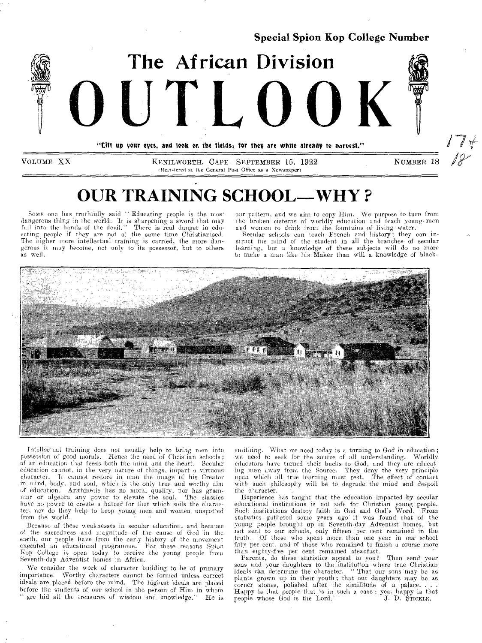

"Eitt up your eyes, and look on the fields: for they are white aiready to narvest."

**VOLUME XX KENILWORTH, CAPE. SEPTEMBER 15, 1922 NUMBER 18**  (Registered at the General Post Office as a Newspaper)

# **OUR TRAINING SCHOOL-WHY?**

Some one has truthfully said " Educating people is the most dangerous thing in the world. It is sharpening a sword that may fall into the hands of the devil." There is real danger in educating people if they are not at the same time Christianised. The higher mere intellectual training is carried, the more dangerous it may become, not only to its possessor, but to others **as** well.

our pattern, and we aim to copy Him. We purpose to turn from the broken cisterns of worldly education and teach young- men and women to drink from the fountains of living water.

Secular schools can teach French and history; they can instruct the mind of the student in all the branches of secular learning, but a knowledge of these subjects will do no more to make a man like his Maker than will a knowledge of black-



Intellectual training does not usually help to bring men into possession of good morals. Hence the need of Christian schools; of an education that feeds both the mind and the heart. Secular education cannot, in the very nature of things, impart a virtuous character. It cannot restore in man the image of his Creator in mind, body, and soul, which is the only true and worthy aim of education. Arithmetic has no moral quality, nor **has** grammar or algebra any power to elevate the soul. The classics have no power to create a hatred for that which soils the character, nor do they help to keep young men and women unspotted from the world.

Because of these weaknesses in secular education, and because o! the sacredness and magnitude of the cause of God in the earth, our people have from the early history of the movement executed an educational programme. For these reasons Spion Kop College is open today to receive the young people from Seventh-day Adventist homes in Africa.

We consider the work of character building to be of primary importance. Worthy characters cannot be formed unless correct ideals are placed before the mind. The highest ideals are placed before the students of our school in the person of Him in whom gre hid all the treasures of wisdom and knowledge." He is smithing. What we need today is a turning to God in education; we need to seek for the source of all understanding. Worldly educators have turned their backs to God, and they are educating men away from the Source. They deny the very principle upon which all true learning must rest. The effect of contact with such philosophy will be to degrade the mind and despoil the character.

Experience has taught that the education imparted by secular educational institutions is not safe for Christian young people. Such institutions destroy faith in God and God's Word. From statistics gathered some years ago' it was found that of the young people brought up in Seventh-day Adventist homes, but not sent to our schools, only fifteen per cent remained in the truth. Of those who spent more than one year in our school fifty per cent, and of those who remained to finish a course more than eighty-five per cent remained steadfast.

Parents, do these statistics appeal to you? Then send your sons and your daughters to the institution where true Christian ideals can determine the character. " That our sons 'may be as plants grown up in their youth; that our daughters may be as corner stones, polished after the similitude of a palace... Happy is that people that is in such a case : yea, happy is that people whose God is the Lord." J. D. Stroking.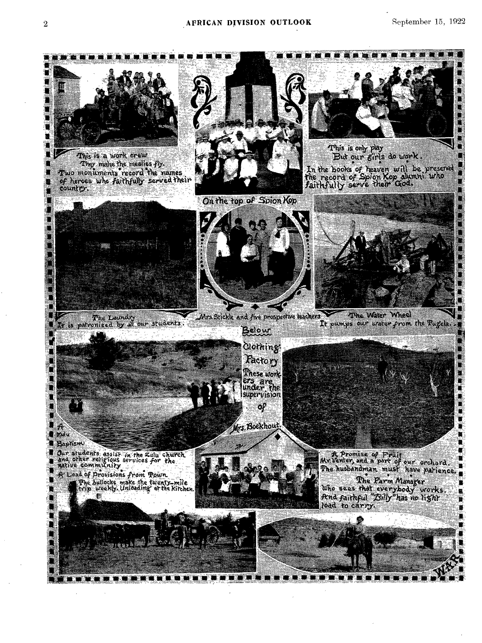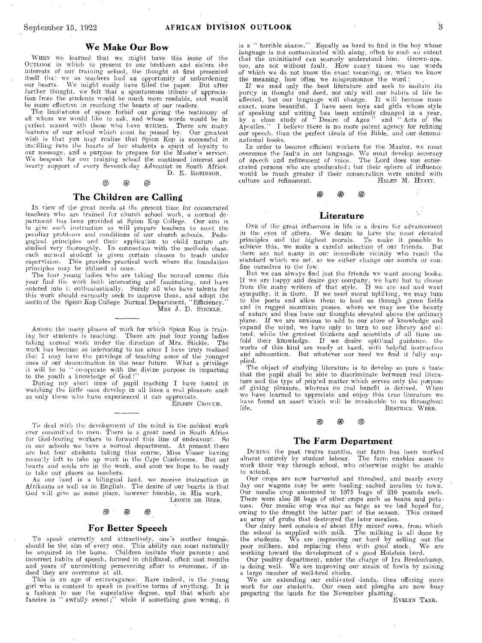#### We Make Our Bow

WHEN **we learned** that we might have **this issue of the Ournoox in which to present to** our **brethren and sisters the interests of our training school, the thought at first presented itself that we as teachers had an opportunity of unburdening our hearts. We might easily have filled the paper.** But **after further thought, we felt that a spontaneous tribute-of** appreciation **from the students would be much more readable, and would**  be **more effective in reaching the hearts of our readers.** 

The limitations of space forbid our giving the testimony of all whom we would like to ask, and whose words would be in **perfect accord with those who have written. There are many**  features of our school which must be passed by. Our greatest **wish is that you may realise that Spion Kop is successful in instilling into the hearts of her students a spirit of loyalty to our message, and a purpose to prepare for the Master's service. We bespeak for our training school the continued interest and hearty support of every Seventh-day Adventist** in **South Africa. D.** E. ROBINSON.

# 0 0 *Effi*

#### The Children are Calling

**IN view of** the great needs at the present time **for consecrated**  teachers who are trained for church school work, a normal de**partment has been provided at Spion Kop College. Our aim is to give such instruction as will prepare teachers to meet the peculiar problems and conditions of our church schools. Pedagogical principles and their application** to **child nature are studied very thoroughly. In connection with the methods class, each normal student is given certain classes to teach under supervision. This provides practical work where the foundation principles may be utilised at once.** 

**The four young ladies who are taking the normal course this year find the work both interesting and fascinating, and have**  entered into it enthusiastically. Surely all who have talents for this work should earnestly seek to improve them, and adopt the **motto of the Spion Kop College** Normal Department, "Efficiency." 'Alas J. D. STICKLE.

**AMONe the many phases of work for which** Spion **Kop is train**ing her students is teaching. There are just four young ladies taking normal work under the direction of Mrs. Stickle. The **work has become so interesting to me since I have truly realised that I may have the privilege of teaching some of the younger ones of our denomination in the near future. What a privilege it will be to " co-operate with the divine purpose in imparting to the youth a knowledge of** God !"

**During my short time of pupil teaching I have found** in **watching the little ones develop in all lines a real pleasure such as only those who have experienced it can appreciate.** 

EILEEN CROUCH.

To deal with the development of the mind is the noblest work ever committed to men. There is a great need in South Africa **for God-fearing workers to forward this line** of endeavour. **So in our schools we have a normal department. At present there are but four students taking this course, Miss Visser** having **recently left to take up work in the Cape Conference.** But our **hearts and souls are in the work, and soon we hope to. be** ready **to take our places as teachers.** 

**As our land is a bilingual land, we receive instruction** in **Afrikaans us well as in English. The desire of** our hearts **is** that **God will give us sonic place, however** humble, in His work. LEONIE DE- BEER.

## $\circledast$   $\circledast$   $\circledast$

#### For Better Speech

**To speak correctly** and attractively, one's mother tongu'e, **should be the aim of every one. This ability can** most **naturally be acquired in the hone.** Children imitate **their parents;** and **incorrect habits of speech, formed in** childhood, **often cost** months and **years of unremitting persevering** effort **to overcome, if** indeed **they are overcome at all.** 

This **is an age of extravagance. Rare indeed,** is **the young**  girl who is content to speak in positive terms of anything. **a fashion to use the superlative degree,** and that which **she fancies is " awfully sweet;" while if something** goes **wrong, it**  is a " **terrible shame." Equally** as **hard to find is the boy whose language** is not **contaminated with slang, often to such an extent that the** uninitiated **can** scarcely **understand him. Grown-upstoo, are** not without **fault. How many times we use words of** which we do not know **the exact meaning, or, when we know**  the meaning, how often **we mispronounce the word !** 

**If** we read only **the best literature and seek to imitate its**  purity in thought and deed, not only will our habits of life be affected, but our language will change. It will become more exact, more beautiful. I have seen boys and girls whose style of speaking and writing has been ent of speaking and writing has been entirely changed in a year, by a close study of " Desire of Ages " and " Acts of the Apostles." I believe there is no more potent agency for refining **Apostles." I believe there is no more potent agency for** refining our speech, than **the perfect ideals of the Bible, and our-denominational books.** 

In order to become efficient workers for the Master, we must *overcome* the faults in our language. We must develop accuracy of speech and refinement of voice. The Lord does use conse**crated persons who are uneducated; but their sphere of influence would be** much **greater if their consecration were** united **with**  culture and refinement.

#### Literature

ti6

ONE **of the great** influences in life is **a desire for advancement in the eyes of others. We desire to have the most elevated principles and the highest morals. To make it possible to achieve this, we make a careful selection of our friends. But**  there are not many in our immediate vicinity who reach the standard which we set. so we either change our morals or con**fine ourselves to the few.** 

**But we can always find just the friends we want among books. If we are happy and desire gay company, we have but to choose**  from **the many writers of that style. If we are sad and want**  sympathy, it is there. If we need moral uplifting, we may turn **to** the **poets and** allow **them to lead us through green fields and** in **rugged mountain passes, where we may see the beauty**  of nature and thus have our thoughts elevated above the ordinary plane. If we are anxious to add to our store of knowledge and **expand the mind, we have only** to **turn to our library and attend,** while the **greatest thinkers and scientists of all time unfold** their **knowledge. If we desire spiritual guidance. the**  works of this kind **are ready at hand, with helpful instruction**  and admonition. But **whatever our need we find it fully supplied.** 

The object of studying literature is **to develop so pure a taste**  that the pupil shall **be able to discriminate between** real **litera**ture and the type of printed matter which serves only the purpose of giving pleasure, whereas no real benefit is derived. When of giving pleasure, whereas no real benefit is derived. **we have learned to appreciate and enjoy this true literature we have found an asset which will be invaluable to us throughout life.** BEATRICE WEBB.

# <sup>.</sup><br>ගී ගී ගී

#### The Farm Department

OUTING the past twelve months, our farm has **been worked**  almost entirely by student labour. The **hubn enables some to work** their way through school, who **otherwise might be unable to** attend.

Our crops are now **harvested** and **threshed, and nearly every**  day our wagons may **be seen** hauling **sacked mealies to town.**  Our mealie crop **amounted to** 1075 bags **of 210 pounds each.**  There were also 35 bags of other **crops such as** beans **and potatoes.** Our mealie crop **was not as large as we** had hoped **for,**  owing to the drought **the latter part of the season.** This **caused**  an army of grubs that **destroyed** the **later mealies.** 

Our dairy herd consists of about fifty mixed cows, from which<br>the school is supplied with milk. The milking is all done by<br>the students. We are improving our herd by selling out the<br>poor milkers, and replacing them with go working toward the development **of a good** Holstein herd. Our poultry department, under **the charge of Ira Bredenkamp,** 

is doing well. We are improving our **strain of fowls by raising**  a large number of well-bred **chicks.** 

We are extending our cultivated -lands,- **thus offering more**  work for our students. Our **oxen** and ploughs **are** now **busy**  preparing the lands for the **November** planting.

EVELYN TARR.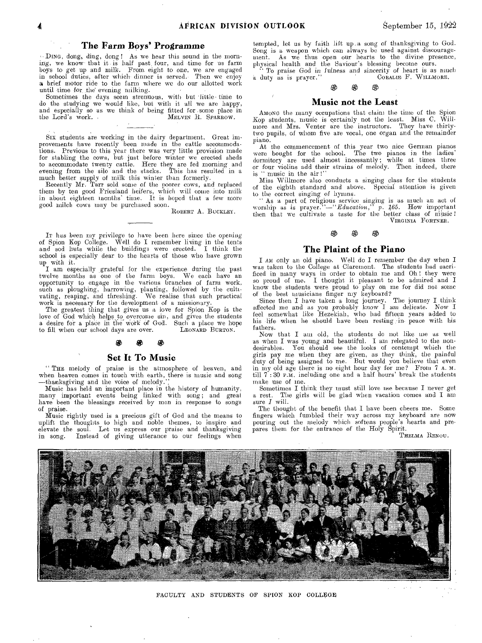### The Farm Boys' Programme

 $\cdot$  DING, dong, ding, dong ! As we hear this sound in the morning, we know that it is half past, four, and time for us farm boys to get up and milk. From eight to one, we are engaged in school duties, after which. dinner is **served.** Then **we enjoy a** brief motor ride to the farm where we do our **allotted work**  until time for, the' evening milking.

Sometimes the days seem strenuous, with but 'little- time to do the studying we would like, but with it all we are happy, and especially so as we think of being fitted for some place in the Lord's work. MELVIN R. SPARROW.

Six students are working in the dairy department. Great improvements have recently been made in the cattle accommodations. Previous to this year there was very little provision made for stabling the cows, but just before winter we erected sheds to accommodate twenty cattle. Here they are fed morning and evening from the silo and the stacks. This has resulted in a

much better supply of milk this winter than formerly. Recently Mr. Tarr sold some of the poorer cows, and replaced them by ten good Friesland heifers, which will come into milk in about eighteen months' time. It is hoped that a few more good milch cows may be purchased soon. ROBERT **A. BUCKLEY.** 

IT has been my privilege to have been here since the opening of Spion Kop College. Well do I remember living in the tents and sod huts while the buildings were erected. I think the school is especially dear to the hearts of those who have grown

up with it. I am especially grateful for the experience during the past twelve months as one of the farm boys. We each have an opportunity to engage in the various branches of farm work, such as ploughing, harrowing, planting, followed by the cultivating, reaping, and threshing. We realise that such practical work is necessary for the development of a missionary.

The greatest thing that gives us a love for Spion Kop is the love of God which helps. **to overcome sin,** and gives the students a desire for a place in the work of God. Such a place we hope<br>to fill when our school days are over.<br>T.EONARD BURTON. to fill when our school days are over.

#### æ த

#### Set It To Music

" THE melody of praise is the atmosphere of heaven, and when heaven comes in touch with earth, there is music **and** song —thanksgiving and the voice of melody::

Music has held an important place in the history of humanity, many important events being linked with **song;** and great have been the blessings received by men in **response to** songs of praise.

Music rightly used is a precious gift of God and the means to uplift the thoughts to high and noble themes, to inspire and elevate the soul. Let us express our praise and thanksgiving<br>in song. Instead of giving utterance to our feelings when Instead of giving utterance to our feelings when

tempted, let us by faith lift up .a song of thanksgiving to God. Song is a weapon which can always be used against discouragement. As we thus open our hearts to the divine presence, physical health and the Saviour's blessing become ours.

" To praise God in fulness and sincerity of heart is as much a duty as is prayer." CORALLE F. WILLMORE. CORALIE F. WILLMORE.

### ക

#### Music not the Least

AMONG the many occupations that claim the time of the Spion Kop students, music is certainly not the least. Miss C. Willmore and Mrs. Venter are the instructors. They have thirtytwo pupils, of whom five are vocal, one organ and the remainder piano.

At the commencement of this year two nice German pianos were bought for the school. The two pianos in the ladies' dormitory are used almost incessantly; while at times three or four violins add their strains of melody. Then indeed, there ' music in the air!'

Miss Willmore also conducts **a** singing class for the students of the eighth standard and **above.** Special attention is given to the correct singing of hymns.

" As a **part of** religious **service singing is** as much an act of worship as is *prayer."—"Education," p. 165.* How important then that **we** cultivate a *taste* **for the** better class of music I VIRGINIA FORTNER.

## Eg *Eg*

#### The Plaint of the Piano

I AM only an old piano. Well do I remember the day when I was taken to the College at Claremont. The students had sacrificed in many ways in order to obtain me and Oh ! they were so proud of me. I thought it pleasant to be admired and I know the students were proud to play on me for did not some of the best musicians finger my keyboard?

Since then I have taken a **long journey.** The journey I think affected me and as you probably **know I** am delicate. Now I feel somewhat like Hezekiah, who had fifteen **years** added to his -life- -when he should have **been resting** *peace* with his fathers.

Now that I am old, the students do not like me as well as when I was young and beautiful. I am relegated to the nondesirables. You should see the looks of contempt which the girls pay me when they *are* given, as they think, the painful duty of being assigned **to me.** But would you believe that even in my old age there is no eight hour day for me? From *7* A. M. till **7 : 30** P.M. including **one** and a half hours' break the students make use of Inc.

Sometimes I think they must still love me because I never get a rest. The girls will be glad when vacation comes and I am sure *I* will.

The thought of the benefit that I have been cheers me. Some fingers which fumbled their way across my keyboard are now pouring out the melody which softens people's hearts and prepares them for the entrance of the Holy Spirit.

THELMA RENOU.



FACULTY AND STUDENTS OF SPION KOP COLLEGE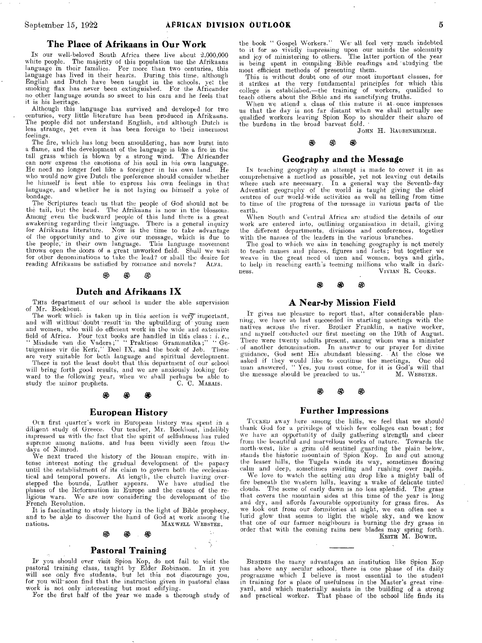#### **The Place of Afrikaans in Our Work**

IN our well-beloved South Africa there live about 2,000,000 white people. The majority of this population use the Afrikaans language in their families. For more than two centuries, this language has lived in their hearts. During this time, although English and Dutch have been taught in the schools, yet the smoking flax has never been extinguished. For the Africander no other language sounds so sweet to his ears and he feels that it is his heritage.

Although this language has survived and developed for two centuries, very little literature has been produced in Afrikaans. The people did not understand English, and although Dutch is less strange, yet even it has been foreign to their innermost feelings.

The fire, which has long been smouldering, has now burst into a flame, and the development of the language is like a fire in the tall grass which is blown by a strong wind. The Africander can now express the emotions of his soul in his own language. He need no longer feel like a- foreigner in his own land. He who would now give Dutch the preference should consider whether he himself is best able to express his own feelings in that language, and whether he is not laying on himself a yoke of bondage.

The Scriptures teach us that the people of God should not be the tail, but the head. The Afrikaans is now in the blossom. Among even the backward people of this land there is a great awakening regarding their language. There is a general inquiry for Afrikaans literature. Now is the time to take advantage of the opportunity and to give our message, which is due to the people; in their own language. This language movement throws open the doors of a great unworked field. Shall we wait for other denominations to take the lead? or shall the desire for reading Afrikaans be satisfied by romance and novels? ALFA. reading Afrikaans be satisfied by romance and novels?

# 17. 6g 0

#### **Dutch and Afrikaans IX**

THIS department of our school is under the able supervision of Mr. Boekhout.

The work which is taken up in this section is very important, and will without doubt result 'in the upbuilding of young men and women, who will do efficient work in the wide and extensive field of Africa. Four text books are handled in this class : *i. e.*, " Misdade van die Vaders;" " Praktiese Grammatika;" " Ge-<br>tuigenisse vir die Kerk," Deel IX, and the book of Job. These are very suitable for both language and spiritual development.

There is not the least doubt that this department of our school will bring forth good results, and we are anxiously looking forward to the following year, when we shall perhaps be able to study the minor prophets. The C. C. MARAIS.

#### **European History**

OUR first quarter's work in European history was spent in a diligent study of Greece. Our teacher, Mr. Boekhout, indelibly impressed us with the fact that the spirit of selfishness has ruled supreme among nations, and has been vividly seen from the days of Nimrod. We next traced the history of the Roman empire, with in-

tense interest noting the gradual development of the papacy until the establishment of its claim to govern both the ecclesiastical and temporal powers. At length, the church having over-stepped the bounds, Luther appears. We have studied the phases of the Reformation in Europe and the causes of the religious wars. We are now considering the development of the French Revolution.

It is fascinating to study history in the light of Bible prophecy, and to be able to discover the hand of God at work among the nations. MAXWELL WEBSTER. MAXWELL WEBSTER.

#### ෯ 80

÷.

#### **Pastoral Training**

IF you should ever visit Spion Kop, do not fail to visit the pastoral training class, taught by Elder Robinson. In it you will see only five students, but let this not discourage you, for you will soon find that the instruction given in pastoral class work is not only interesting but most edifying. For the first half of the year we made a thorough study of

the book " Gospel Workers." We- all feel very much indebted to it for so vividly impreasing upon our minds the solemnity and joy of ministering to others. The latter portion of the year is being spent in compiling Bible readings and studying the most efficient methods of presenting them.

This is without doubt one of our most important classes, for it strikes at the very fundamental principles for which this college is established,—the training of workers, qualified to teach others about the Bible and its sanctifying truths.

When we attend a class of this nature it at once impresses us that the day is not far distant when we shall actually see qualified workers leaving Spion Kop to shoulder their share of the burdens in the broad harvest field.

JOHN H. RAUBENHEIMER.

#### இ æ

#### **Geography and the Message**

IN teaching geography an attempt is made to cover it in as comprehensive a method as possible, yet not leaving out details where such are necessary. In a general way the Seventh-day Adventist geography of the world is taught giving the chief centres of our world-wide activities as well as telling from time to time of the progress of the message in various parts of the earth.

When South and Central Africa are studied the details of our work are entered into, outlining organisation in detail, giving the different departments, divisions and conferences, together with the names of the leaders in the various branches.

The goal to which we aim in teaching geography is not merely to teach names and places, figures and facts; but together we weave in the great need of men and women, boys and girls, to help in reaching earth's teeming millions who walk in dark-ness. VIVIAN R. COOKS.

#### 80 88

## **A Near-by Mission Field**

IT gives me pleasure to report that, after considerable planning, we have at last succeeded in starting meetings with the natives across the river. Brother Franklin, a native worker, and myself conducted our first meeting on the 19th of August. There were twenty adults present, among whom was a minister of another denomination. In answer to our prayer for divine In answer to our prayer for divine guidance, God sent His abundant blessing. At the close we asked if they would like to continue the meetings. One old man answered, "Yes, you must come, for it is God's will that the message should be preached to us." M. WE

#### 17. :Pa

#### **Further Impressions**

TUCKED away here among the hills, we feel that we should thank God for a privilege of which few colleges can boast; for we have an opportunity of daily gathering strength and cheer from the beautiful and marvellous works of nature. Towards the north-west, like a grim old sentinel guarding the plain below, stands the historic mountain of Spion Kop. In and out among the lesser hills, the Tugela winds its way, sometimes flowing calm and deep, sometimes swirling and rushing over rapids.

We love to watch the setting sun drop like a mighty ball of fire beneath the western hills, leaving a wake of delicate tinted clouds. The scene of early dawn is no less splendid. The grass that covers the mountain sides at this time of the year is long and dry, and affords favourable opportunity for grass fires. As we look out from our dormitories at night, we can often see a lurid glow that seems to light the whole sky, and we know that one of our farmer neighbours is burning the dry grass in order that with the coming rains new blades may spring forth. KEITH M. BOWIE.

BEsines the many advantages an institution like Spion Kop has above any secular school, there is one phase of its daily programme which I believe is most essential to the student in training for a place of usefulness in the Master's great vineyard, and which materially assists in the building of a strong and practical worker. That phase of the school life finds its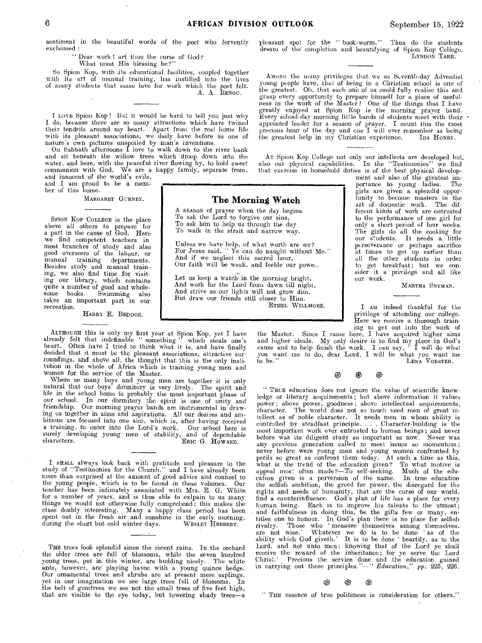sentiment in the beautiful words of the poet who fervently exclaimed :

" Dear work ! art thou the curse of God?

What must His blessing be?

So Spion Kop, with its educational facilities, coupled together with its art of manual training, has instilled into the lives of many students that same love for work which the poet felt. A. A. RENOU.

I LOVE Spion Kop ! But it would be hard to tell you just why I do, because there are so many attractions which have twined their tendrils around my heart. Apart from the real home life with its pleasant associations, we daily have before us one of

nature's own pictures unspoiled by man's inventions. On Sabbath afternoons I love to walk down to the river bank and sit beneath the willow trees which droop down into the water, and here, with the peaceful river flowing by, to hold sweet communion with God. We are a happy family, separate from, and innocent of the world's evils.

and I am proud to be a mem-ber of this home.

MARGARET GURNEY.

SPION KOP COLLEGE is the place above all others to prepare *for*  a part in the cause of God. Here we find competent teachers in most branches of study and also good overseers of the labour, or manual training departments. Besides study and manual training, we also find time for visiting our library, which contains quite a number of good and whole-some books. Swimming also takes an important part in our recreation.

HARRY E. BEDDOE.

ALTHOUGH this is only my first year at Spion Kop, yet I have already felt that indefinable " something " which steals one's heart. Often have I tried to think what it is, and have finally decided that it must be the pleasant associations, attractive sur-roundings, and above all, the thought that this is the only institution in the whole of Africa which is training young men and women for, the service of the Master.

Where so many boys and young men are together it is only natural that our boys' dormitory is very lively. The spirit and life in the school home is probably the most important phase of our school. In our dormitory the spirit is one of unity and friendship. Our morning prayer bands are instrumental in drawing us together in aims and aspirations. All our desires and ambitions are focused into one aim, which is, after having received a training, to enter into the Lord's work. Our school here is surely developing young men of stability, and of dependable characters. ERIC G. HOWARD.

I SHALL always look back with gratitude and pleasure to the study of "Testimonies for the Church," and I have already been snore than surprised at the amount of good advice and counsel to the young people, which is to be found in these volumes. Our teacher has been intimately associated with Mrs. E. G. White for a number of years, and is thus able to exlpain to us many things we would not otherwise fully comprehend ; this makes the class doubly interesting. Many a happy class period has been spent out in the fresh air and sunshine in the early morning, during the short but cold winter days. WESLEY HERBERT.

THE trees look splendid since the recent rains. In the orchard the older trees are full of blossoms, while the seven hundred young trees, put in this winter, are budding nicely. The white ants, however, are playing havoc with a young quince hedge. Our ornamental trees and shrubs are at present mere saplings. yet in our imagination we see large trees full of blossoms. In the belt of gumtrees we see not the small trees of five feet high, that are visible to the eye today, but towering shady trees—a

pleasant spot for the " book-worm." Thus do the students dream of the completion and beautifying of Spion Kop College. LYNDON TARR.

AMONG the many privileges that we as Seventh-day Adventist young people have, that of being in a Christian school is one of the greatest. Oh, that each one of us could fully realise this and grasp every opportunity to prepare himself for a place of useful. ness in the work of the Master! One of the things that I have greatly enjoyed at Spion Kop is the morning prayer band.<br>Every school-day morning little bands of students meet with their  $\cdot$ appointed leader *for* a season of prayer. I count this the most precious hour of the day and cne I will ever remember as being the greatest help in my Christian experience. IDA HONEY.

AT Spion Kop College not only our intellects are developed but\_ also our physical capabilities. In the "Testimonies" we find that exercise in household duties is of the best physical development and also of the greatest im-

## **The Morning Watch**

A SEASON of prayer when the day begins To ask the Lord to forgive our sins, To ask him to help us through the day To walk in the strait and narrow way.

Unless we have help, of what worth are we? For Jesus said, " Ye can do naught without Me." And if we neglect this sacred hour,

Let us keep a watch in the morning bright, And work for the Lord from dawn till night, And strive so our lights will not grow dim, But draw our friends still closer to Him.

to the performance of one girl for only a short period of four weeks. The girls do all the cooking for our students. It needs a little perseverance or perhaps sacrifice<br>at times to get up earlier than<br>all the other students in order<br>to get breakfast; but we con-<br>sider it a privilege and all like our work. MARTHA SNYMAN.

portance to young ladies. girls are given a splendid opportunity to become masters in the art of domestic work. The different kinds of work are entrusted

I AM indeed thankful for the privilege of attending our college. Here we receive a thorough train-

ing to get out into the work of the Master. Since I came here, I have acquired higher aims and higher ideals. My only desire is to find my place in God's cause and to help finish the work. I can say, "I will do what you want me to do, dear Lord, I will be what you want me to be." LENA VORSTER.

> න 93 ⊛

" TRUE education does not ignore the value of scientific knowledge or literary acquirements ; but above information it values power; above power, goodness; above intellectual acquirements, character. The world does not so much need men of great intellect as of noble character. It needs men in whom ability is controlled by steadfast principle. . . . Character-building is the most important work ever entrusted to human beings; and never before was its diligent study so important as now. Never was any previous generation called to meet issues so momentous; never before were young men and young women confronted by perils so great as confront them today. At such a time as this, what is the trend of the education given? To what motive is appeal most often made?—To self-seeking. Much of the eduappeal most often made?-To self-seeking. Much of the education given is a perversion of the name. In true education the selfish ambition, the greed for power, the disregard for the rights and needs of humanity, that are the curse of our world, find a counterinfluence. God's plan of life has a place for every human being. Each is to improve his talents to the utmost; and faithfulness in doing this, be the gifts few or many, entitles one to honour. In God's plan there is no place for selfish rivalry. Those who 'measure themselves among themselves. are not wise.' Whatever we do is to be done 'as of the ability which God giveth.' It is to be done 'heartily, as to the Lord, and not unto men; knowing that of the Lord ye shall receive the reward of the inheritance; for ye serve the Lord Christ.' Precious the service done and the education gained in carrying out these principles."—" *Education,"* pp. 225, 226.

# *<sup>0</sup>*0 0

" THE essence of true politeness is consideration for others."

Our faith will be weak, and feeble our power.

ETHEL WILLMORE.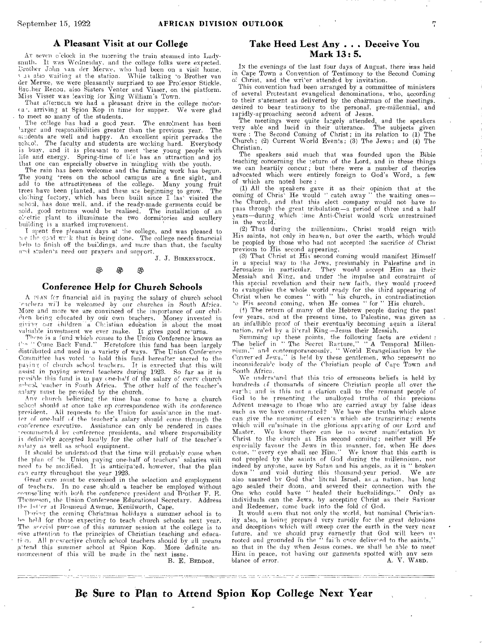### **A Pleasant Visit at our College**

AT seven o'clock in the morning the train steamed into Ladysmith. It was Wednesday, and the college folks were expected. 1:rother John Nan der Mem, who had °been on a visit home, v 13 also waiting at the station. While talking to Brother van der Merwe, we were pleasantly surprised to see Professor Stickle.<br>Bro.her Renou, also Sisters Venter and Visser, on the platform.<br>Miss Visser was leaving for King William's Town.

That afterncen we had a pleasant drive in the college motor-<br>(a), arriving at Spion Kop in time for supper. We were glad to meet so many of the students.<br>The college has had a good year. The enrolment has been

larger and responsibilities greater than the previous year. The students are well and happy. An excellent spirit pervades the school. The faculty and students are working hard. Everybody is busy, and it is pleasant to meet these young people with life and energy. Spring-time of life has an attraction and joy

that one can especially observe in mingling with the youth. The rain has been welcome and the farming work has begun. The young 'rees on the school campus are a fine sight, and<br>add to the attractiveness of the college. Many young fruit<br>trees have been planted, and these are beginning to grow. The<br>clothing factory, which has been built sin building is a marked improvement.

I spent five pleasant days at the college, and was pleased to e flip ?cod we-k that is being done. The college needs financial belp to finish off the buildings, and more than that, the faculty and students need our prayers and support.

J. J. BIRRENSTOCE.

#### ම இ இ

#### **Conference Help for Church Schools**

A NAN for financial aid in paying the salary of church school 'reflers wil be welcomed by our churches in South Africa.<br>More and more we are convinced of the importance of our childien being educated by our own teachers. Money invested in giving our children a Christian education is about the most valuable investment we ever make. It gives good re'urns.

There is a fund which comes to the Union Conference known as  $i^{1-\alpha}$  " Come Back Fund." Heretofore this fund has been largely distributed and used in a variety of ways. The Union Conference Committee has voted to hold this fund hereafter sacred to the payinq, of church school teachers. It is expected that this will assist in paying several teachers during 1923. So far as it is possible this fund is to pay one-half of the salary of every church selic31, teacher in South Africa. The other half of the teacher's salary nmst be provided by the church.

Any church believing the time has come to have a church school shonld at once take up correspondence with its *conference*  president. All requests to the Union for assistance in the matter of one-half (4 the teacher's. salary should come through the conference executive. Assistance can only be rendered in cases •ecommended by conference presidents, and where responsibility is definitely accepted locally for the other half of the *teacher's*  salary as well as school equipment.

Tt should be understood that the time will probably come when the plan of 'he Union paying one-half of teachers' salaries will need to be modified. It is anticipated, however, that the plan can carry throughout the year 1923.

Great care must be exercised in the selection and employment of teachers. In no case should a teacher be employed without counselling with both the conference president and  $B$ -other  $F$ . E. Thomson, the Union Conference Educational Secretary. Address the lat'or at Bnsmead Avenue, Kenilworth, *Cape.* 

Diring the coming Christmas holidays a summer school is to he held for those expecting to teach church schools next year. The sercial purrose of this summer session at the college is to give attention to the principles of Christian teaching and educa-<br>tion. All prespective church school teachers should by all means tion. All prespective church school teachers should by all means a tend this summer school at Spion Kop. More definite an-<br>nouncement of this will be made in the next issue.<br>B. E. BEDDOE.

## **Take Heed Lest Any . . . Deceive You Mark 13: 5.**

IN the evenings of the last four days of August, there was held in Cape Town a Convention of Testimony to the Second Coming of Christ, and the writer attended by invitation. Christ, and the wri'er attended by invitation.

This convention had been arranged by a committee of ministers of several Protestant evangelical denominations, who, according to their statement as delivered by the chairman of the *meetings,*  desired to bear testimony to the personal, pre-millennial, and rapidly-approaching second advent of Jesus.

The meetings were quite largely attended, and the speakers<br>very able and lucid in their utterance. The subjects given<br>were: The Second Coming of Christ; in its relation to (1) The<br>Church; (2) Current World Events; (3) The Christian.

The speakers said much that was founded upon the Bible<br>teaching concerning the teturn of the Lord, and in these things<br>we can heartily concur; but there were a number of theories<br>advocated which were entirely foreign to Go of which are noted here :

(1) All the speakers gave it as their opinion that at the coming of Chris' He would " catch away " the waiting ones the Church, and that this elect company would not have to pass through the great tribulation—a period of three and a 'half years—during which lime Anti-Christ would work unrestrained in the world.

(2) That during the millennium, Christ would reign with His saints, not only in heaven, but over the earth, which would<br>be peopled by those who had not accepted the sacrifice of Christ previous to His second appearing. (3) That Christ at His second coming would manifest Himself

in a special way to the Jews, presinnably in Palestine and in Jerusalem in particular. They would accept Him as their Jerusalem in particular. They would accept Him as their Messiah and King, and under the impulse and constraint of this special revelation and their new faith, they would proceed to evangelise the whole world ready for the third appearing of Christ when he comes " with " his church, in contradistinction " Tis second coming, when He comes " for " His church.<br>(1) The return of many of the Hebrew peop

few years, and at the present time, to Palestine, was given as an infallible proof of their eventually becoming again a literal

nation, ru'ed by a li'eral King-Jesus their Messiah.<br>
Summing up these points, the following facts are evident :<br>
The belief in "The Secret Ranture," "A Temporal Millen-<br>
rum," and contemporaneously, "World Evangelisation Routh Africa.

We understand that this trio of erroneous beliefs is held by hundreds of thousands of sincere Christian people all over the earth; and is this not a clarion call to the remnant people of God to be presenting the unalloyed truths of this precious Advent message to those who arc carried away by false ideas such as we have enumerated? We have the truths which alone can give the meaning of events which are transpiring; events which will cu'minate in the glorious appearing of our Lord and Master. We know there can be no secret mani<sup>r</sup>estation by Christ to the church at His second coming; neither will He especially favour the Jews in this manner, for, when He does come, "every eye shall see Him." We know tha not peopled by the saints of God during the millennium, nor indeed by anyone, save by Satan and his angels, as it is " broken down " and void during this thousand-year period. We are also assured by God that literal Israel, as a nation, has long ago sealed their doom, and severed their connection with the One who could have " healed their backslidings." Only as individuals can the Jews, by accepting Christ as their Saviour and Redeemer, come back into the fold of God.

It would seem that not only the world, but nominal Christianity also, is being prepared very rapidly for the great delusions and deceptions which will sweep over the earth in the very near future, and we should pray earnestly that God will keen us rooted and grounded in the "fai'h once delivered to the saints," so that in the day when Jesus comes. we shall be able to meet Him in peace, not having our garments spotted with ant' sem blance of error. A. V. WARD.

Be Sure to **Plan to Attend Spion Kop** College Next Year

<u> 1989 - Andrew Marie Herrer, mensk fotballsk politik fotballsk fotballsk fotballsk fotballsk fotballsk fotball</u>